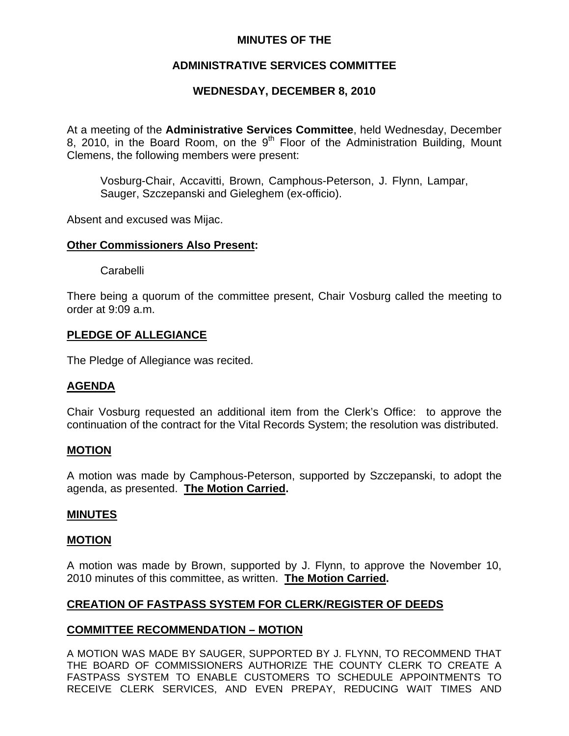### **MINUTES OF THE**

## **ADMINISTRATIVE SERVICES COMMITTEE**

## **WEDNESDAY, DECEMBER 8, 2010**

At a meeting of the **Administrative Services Committee**, held Wednesday, December 8, 2010, in the Board Room, on the  $9<sup>th</sup>$  Floor of the Administration Building, Mount Clemens, the following members were present:

Vosburg-Chair, Accavitti, Brown, Camphous-Peterson, J. Flynn, Lampar, Sauger, Szczepanski and Gieleghem (ex-officio).

Absent and excused was Mijac.

#### **Other Commissioners Also Present:**

**Carabelli** 

There being a quorum of the committee present, Chair Vosburg called the meeting to order at 9:09 a.m.

### **PLEDGE OF ALLEGIANCE**

The Pledge of Allegiance was recited.

### **AGENDA**

Chair Vosburg requested an additional item from the Clerk's Office: to approve the continuation of the contract for the Vital Records System; the resolution was distributed.

### **MOTION**

A motion was made by Camphous-Peterson, supported by Szczepanski, to adopt the agenda, as presented. **The Motion Carried.** 

#### **MINUTES**

#### **MOTION**

A motion was made by Brown, supported by J. Flynn, to approve the November 10, 2010 minutes of this committee, as written. **The Motion Carried.** 

### **CREATION OF FASTPASS SYSTEM FOR CLERK/REGISTER OF DEEDS**

### **COMMITTEE RECOMMENDATION – MOTION**

A MOTION WAS MADE BY SAUGER, SUPPORTED BY J. FLYNN, TO RECOMMEND THAT THE BOARD OF COMMISSIONERS AUTHORIZE THE COUNTY CLERK TO CREATE A FASTPASS SYSTEM TO ENABLE CUSTOMERS TO SCHEDULE APPOINTMENTS TO RECEIVE CLERK SERVICES, AND EVEN PREPAY, REDUCING WAIT TIMES AND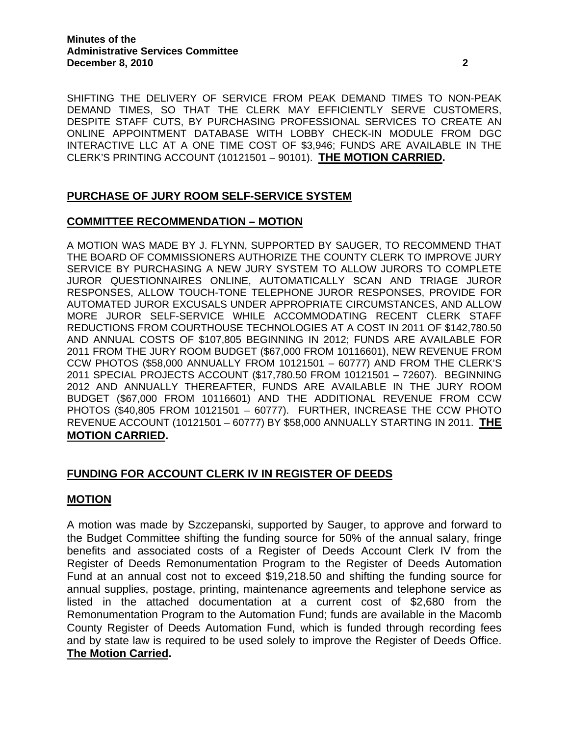SHIFTING THE DELIVERY OF SERVICE FROM PEAK DEMAND TIMES TO NON-PEAK DEMAND TIMES, SO THAT THE CLERK MAY EFFICIENTLY SERVE CUSTOMERS, DESPITE STAFF CUTS, BY PURCHASING PROFESSIONAL SERVICES TO CREATE AN ONLINE APPOINTMENT DATABASE WITH LOBBY CHECK-IN MODULE FROM DGC INTERACTIVE LLC AT A ONE TIME COST OF \$3,946; FUNDS ARE AVAILABLE IN THE CLERK'S PRINTING ACCOUNT (10121501 – 90101). **THE MOTION CARRIED.** 

# **PURCHASE OF JURY ROOM SELF-SERVICE SYSTEM**

## **COMMITTEE RECOMMENDATION – MOTION**

A MOTION WAS MADE BY J. FLYNN, SUPPORTED BY SAUGER, TO RECOMMEND THAT THE BOARD OF COMMISSIONERS AUTHORIZE THE COUNTY CLERK TO IMPROVE JURY SERVICE BY PURCHASING A NEW JURY SYSTEM TO ALLOW JURORS TO COMPLETE JUROR QUESTIONNAIRES ONLINE, AUTOMATICALLY SCAN AND TRIAGE JUROR RESPONSES, ALLOW TOUCH-TONE TELEPHONE JUROR RESPONSES, PROVIDE FOR AUTOMATED JUROR EXCUSALS UNDER APPROPRIATE CIRCUMSTANCES, AND ALLOW MORE JUROR SELF-SERVICE WHILE ACCOMMODATING RECENT CLERK STAFF REDUCTIONS FROM COURTHOUSE TECHNOLOGIES AT A COST IN 2011 OF \$142,780.50 AND ANNUAL COSTS OF \$107,805 BEGINNING IN 2012; FUNDS ARE AVAILABLE FOR 2011 FROM THE JURY ROOM BUDGET (\$67,000 FROM 10116601), NEW REVENUE FROM CCW PHOTOS (\$58,000 ANNUALLY FROM 10121501 – 60777) AND FROM THE CLERK'S 2011 SPECIAL PROJECTS ACCOUNT (\$17,780.50 FROM 10121501 – 72607). BEGINNING 2012 AND ANNUALLY THEREAFTER, FUNDS ARE AVAILABLE IN THE JURY ROOM BUDGET (\$67,000 FROM 10116601) AND THE ADDITIONAL REVENUE FROM CCW PHOTOS (\$40,805 FROM 10121501 – 60777). FURTHER, INCREASE THE CCW PHOTO REVENUE ACCOUNT (10121501 – 60777) BY \$58,000 ANNUALLY STARTING IN 2011. **THE MOTION CARRIED.** 

## **FUNDING FOR ACCOUNT CLERK IV IN REGISTER OF DEEDS**

### **MOTION**

A motion was made by Szczepanski, supported by Sauger, to approve and forward to the Budget Committee shifting the funding source for 50% of the annual salary, fringe benefits and associated costs of a Register of Deeds Account Clerk IV from the Register of Deeds Remonumentation Program to the Register of Deeds Automation Fund at an annual cost not to exceed \$19,218.50 and shifting the funding source for annual supplies, postage, printing, maintenance agreements and telephone service as listed in the attached documentation at a current cost of \$2,680 from the Remonumentation Program to the Automation Fund; funds are available in the Macomb County Register of Deeds Automation Fund, which is funded through recording fees and by state law is required to be used solely to improve the Register of Deeds Office. **The Motion Carried.**